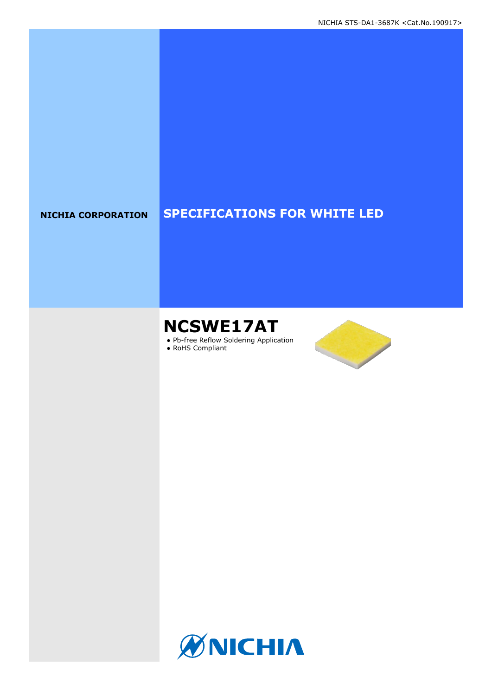### **NICHIA CORPORATION SPECIFICATIONS FOR WHITE LED**

# **NCSWE17AT**

● Pb-free Reflow Soldering Application

● RoHS Compliant



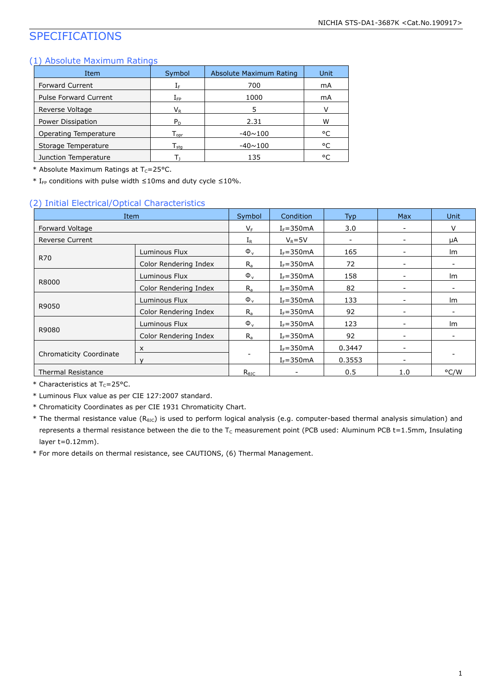### SPECIFICATIONS

#### (1) Absolute Maximum Ratings

| Item                         | Symbol                       | Absolute Maximum Rating | Unit |
|------------------------------|------------------------------|-------------------------|------|
| Forward Current              | ${\rm I}_{{\rm F}}$          | 700                     | mA   |
| <b>Pulse Forward Current</b> | $\rm I_{FP}$                 | 1000                    | mA   |
| Reverse Voltage              | $\mathsf{V}_\mathsf{R}$      | 5                       |      |
| Power Dissipation            | $P_D$                        | 2.31                    | w    |
| Operating Temperature        | $T_{\text{opt}}$             | $-40 \sim 100$          | °C   |
| Storage Temperature          | ${\mathsf T}_{\textsf{sta}}$ | $-40 \sim 100$          | °C   |
| Junction Temperature         | ь                            | 135                     | ۰ς   |

\* Absolute Maximum Ratings at  $T_c = 25$ °C.

\* I<sub>FP</sub> conditions with pulse width  $\leq$ 10ms and duty cycle  $\leq$ 10%.

#### (2) Initial Electrical/Optical Characteristics

| Item                      |                       | Symbol                   | <b>Condition</b> | <b>Typ</b>               | <b>Max</b>               | <b>Unit</b> |  |
|---------------------------|-----------------------|--------------------------|------------------|--------------------------|--------------------------|-------------|--|
| Forward Voltage           |                       | $V_F$                    | $I_F = 350mA$    | 3.0                      | $\overline{\phantom{a}}$ | V           |  |
| <b>Reverse Current</b>    |                       | $I_{R}$                  | $V_R = 5V$       | $\overline{\phantom{a}}$ | $\overline{\phantom{a}}$ | μA          |  |
|                           | Luminous Flux         | $\Phi_{\rm v}$           | $I_F = 350mA$    | 165                      |                          | lm          |  |
| <b>R70</b>                | Color Rendering Index | $R_{a}$                  | $I_F = 350mA$    | 72                       | $\overline{\phantom{a}}$ |             |  |
|                           | Luminous Flux         | $\Phi_{v}$               | $I_F = 350mA$    | 158                      |                          | lm          |  |
| R8000                     | Color Rendering Index | $R_{a}$                  | $I_F = 350mA$    | 82                       |                          |             |  |
|                           | Luminous Flux         | $\Phi_{v}$               | $I_F = 350mA$    | 133                      | $\overline{\phantom{a}}$ | Im          |  |
| R9050                     | Color Rendering Index | $R_{a}$                  | $I_F = 350mA$    | 92                       |                          |             |  |
|                           | Luminous Flux         | $\Phi_{v}$               | $I_F = 350mA$    | 123                      | $\overline{\phantom{a}}$ | Im          |  |
| R9080                     | Color Rendering Index | $R_{a}$                  | $I_F = 350mA$    | 92                       |                          |             |  |
|                           | X                     |                          | $I_F = 350mA$    | 0.3447                   |                          |             |  |
| Chromaticity Coordinate   | $\mathbf{v}$          | $\overline{\phantom{0}}$ | $I_F = 350mA$    | 0.3553                   | $\overline{\phantom{a}}$ |             |  |
| <b>Thermal Resistance</b> |                       | $R_{\theta$ JC           | -                | 0.5                      | 1.0                      | °C/W        |  |

 $*$  Characteristics at T<sub>c</sub>=25°C.

\* Luminous Flux value as per CIE 127:2007 standard.

\* Chromaticity Coordinates as per CIE 1931 Chromaticity Chart.

\* The thermal resistance value (R<sub>θJC</sub>) is used to perform logical analysis (e.g. computer-based thermal analysis simulation) and represents a thermal resistance between the die to the  $T_c$  measurement point (PCB used: Aluminum PCB t=1.5mm, Insulating layer t=0.12mm).

\* For more details on thermal resistance, see CAUTIONS, (6) Thermal Management.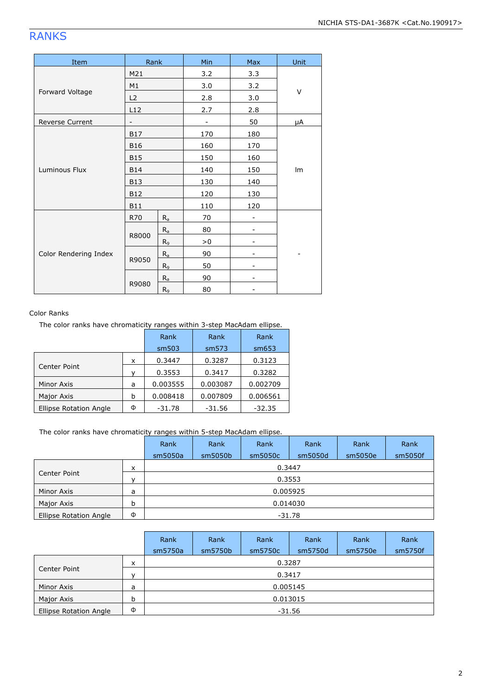### RANKS

| Item                  | Rank                     |                | Min | Max | Unit |  |
|-----------------------|--------------------------|----------------|-----|-----|------|--|
|                       | M21                      |                | 3.2 | 3.3 |      |  |
|                       | M1                       |                | 3.0 | 3.2 |      |  |
| Forward Voltage       | L2                       |                | 2.8 | 3.0 | V    |  |
|                       | L12                      |                | 2.7 | 2.8 |      |  |
| Reverse Current       | $\overline{\phantom{a}}$ |                |     | 50  | μA   |  |
|                       | <b>B17</b>               |                | 170 | 180 |      |  |
|                       | <b>B16</b>               |                | 160 | 170 |      |  |
|                       | <b>B15</b>               |                | 150 | 160 | Im   |  |
| Luminous Flux         | <b>B14</b>               |                | 140 | 150 |      |  |
|                       | <b>B13</b>               |                | 130 | 140 |      |  |
|                       | <b>B12</b>               |                | 120 | 130 |      |  |
|                       | <b>B11</b>               |                | 110 | 120 |      |  |
|                       | R70                      | $R_a$          | 70  |     |      |  |
|                       |                          | $R_a$          | 80  |     |      |  |
| Color Rendering Index | R8000                    | R <sub>9</sub> | > 0 |     |      |  |
|                       |                          | $R_a$          | 90  |     |      |  |
|                       | R9050                    | $R_9$          | 50  |     |      |  |
|                       |                          | $R_a$          | 90  |     |      |  |
|                       | R9080                    | $R_9$          | 80  |     |      |  |

#### Color Ranks

The color ranks have chromaticity ranges within 3-step MacAdam ellipse.

|                               |   | Rank     | Rank     | Rank     |
|-------------------------------|---|----------|----------|----------|
|                               |   | sm503    | sm573    | sm653    |
|                               | x | 0.3447   | 0.3287   | 0.3123   |
| Center Point                  |   | 0.3553   | 0.3417   | 0.3282   |
| Minor Axis                    | a | 0.003555 | 0.003087 | 0.002709 |
| Major Axis                    | b | 0.008418 | 0.007809 | 0.006561 |
| <b>Ellipse Rotation Angle</b> | Ф | $-31.78$ | $-31.56$ | $-32.35$ |

The color ranks have chromaticity ranges within 5-step MacAdam ellipse.

|                        |              | Rank     | Rank    | Rank    | Rank     | Rank    | Rank    |  |
|------------------------|--------------|----------|---------|---------|----------|---------|---------|--|
|                        |              | sm5050a  | sm5050b | sm5050c | sm5050d  | sm5050e | sm5050f |  |
|                        | x            |          |         | 0.3447  |          |         |         |  |
| Center Point           | $\mathbf{v}$ | 0.3553   |         |         |          |         |         |  |
| Minor Axis             | a            |          |         |         | 0.005925 |         |         |  |
| Major Axis             | b            | 0.014030 |         |         |          |         |         |  |
| Ellipse Rotation Angle | Φ            | $-31.78$ |         |         |          |         |         |  |

|                        |          | Rank     | Rank    | Rank     | Rank    | Rank    | Rank    |  |  |
|------------------------|----------|----------|---------|----------|---------|---------|---------|--|--|
|                        |          | sm5750a  | sm5750b | sm5750c  | sm5750d | sm5750e | sm5750f |  |  |
|                        | $\times$ |          |         | 0.3287   |         |         |         |  |  |
| Center Point           |          | 0.3417   |         |          |         |         |         |  |  |
| Minor Axis             | a        |          |         | 0.005145 |         |         |         |  |  |
| Major Axis             | b        | 0.013015 |         |          |         |         |         |  |  |
| Ellipse Rotation Angle | Φ        | $-31.56$ |         |          |         |         |         |  |  |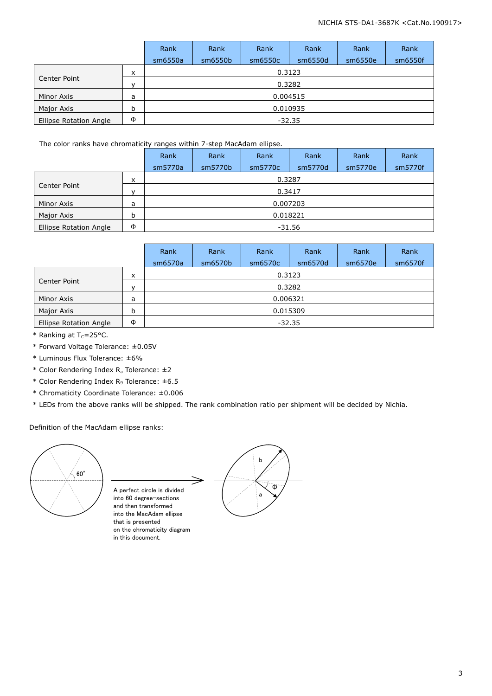|                               |   | Rank     | Rank    | Rank    | Rank     | Rank    | Rank    |  |  |
|-------------------------------|---|----------|---------|---------|----------|---------|---------|--|--|
|                               |   | sm6550a  | sm6550b | sm6550c | sm6550d  | sm6550e | sm6550f |  |  |
|                               | X |          |         | 0.3123  |          |         |         |  |  |
| Center Point<br>$\mathbf{v}$  |   | 0.3282   |         |         |          |         |         |  |  |
| Minor Axis                    | a |          |         |         | 0.004515 |         |         |  |  |
| Major Axis                    | b | 0.010935 |         |         |          |         |         |  |  |
| <b>Ellipse Rotation Angle</b> | Φ | $-32.35$ |         |         |          |         |         |  |  |

#### The color ranks have chromaticity ranges within 7-step MacAdam ellipse.

|                        |              | Rank     | Rank    | Rank     | Rank    | Rank    | Rank    |  |  |
|------------------------|--------------|----------|---------|----------|---------|---------|---------|--|--|
|                        |              | sm5770a  | sm5770b | sm5770c  | sm5770d | sm5770e | sm5770f |  |  |
| x                      |              |          |         | 0.3287   |         |         |         |  |  |
| Center Point           | $\checkmark$ | 0.3417   |         |          |         |         |         |  |  |
| Minor Axis             | a            |          |         | 0.007203 |         |         |         |  |  |
| Major Axis             | b            | 0.018221 |         |          |         |         |         |  |  |
| Ellipse Rotation Angle | Φ            | $-31.56$ |         |          |         |         |         |  |  |

|                               |              | Rank     | Rank    | Rank     | Rank    | Rank    | Rank    |
|-------------------------------|--------------|----------|---------|----------|---------|---------|---------|
|                               |              | sm6570a  | sm6570b | sm6570c  | sm6570d | sm6570e | sm6570f |
| x                             |              |          |         | 0.3123   |         |         |         |
| Center Point                  | $\mathbf{v}$ | 0.3282   |         |          |         |         |         |
| Minor Axis                    | a            |          |         | 0.006321 |         |         |         |
| Major Axis                    | b            | 0.015309 |         |          |         |         |         |
| <b>Ellipse Rotation Angle</b> | Φ            | $-32.35$ |         |          |         |         |         |

 $*$  Ranking at T<sub>C</sub>=25°C.

\* Forward Voltage Tolerance: ±0.05V

\* Luminous Flux Tolerance: ±6%

\* Color Rendering Index  $R_a$  Tolerance:  $\pm 2$ 

\* Color Rendering Index R<sup>9</sup> Tolerance: ±6.5

\* Chromaticity Coordinate Tolerance: ±0.006

\* LEDs from the above ranks will be shipped. The rank combination ratio per shipment will be decided by Nichia.

Definition of the MacAdam ellipse ranks:



A perfect circle is divided into 60 degree-sections and then transformed into the MacAdam ellipse that is presented on the chromaticity diagram in this document.

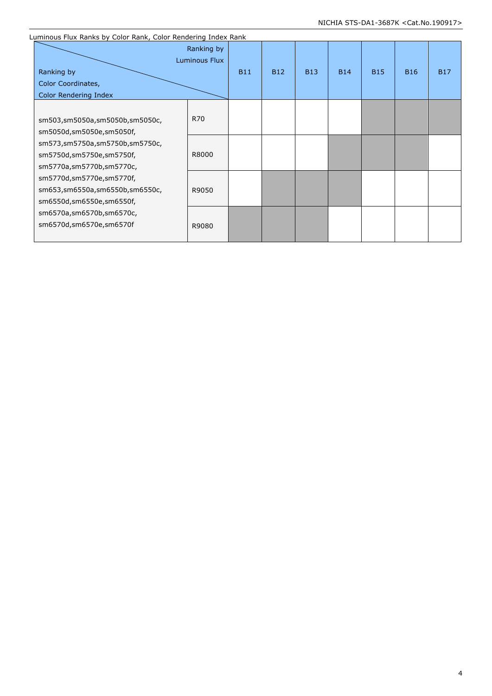| Luminous Flux Ranks by Color Rank, Color Rendering Index Rank |                             |            |            |            |            |            |            |            |
|---------------------------------------------------------------|-----------------------------|------------|------------|------------|------------|------------|------------|------------|
|                                                               | Ranking by<br>Luminous Flux |            |            |            |            |            |            |            |
| Ranking by                                                    |                             | <b>B11</b> | <b>B12</b> | <b>B13</b> | <b>B14</b> | <b>B15</b> | <b>B16</b> | <b>B17</b> |
| Color Coordinates,                                            |                             |            |            |            |            |            |            |            |
| Color Rendering Index                                         |                             |            |            |            |            |            |            |            |
|                                                               |                             |            |            |            |            |            |            |            |
| sm503,sm5050a,sm5050b,sm5050c,                                | R70                         |            |            |            |            |            |            |            |
| sm5050d,sm5050e,sm5050f,                                      |                             |            |            |            |            |            |            |            |
| sm573,sm5750a,sm5750b,sm5750c,                                |                             |            |            |            |            |            |            |            |
| sm5750d,sm5750e,sm5750f,                                      | R8000                       |            |            |            |            |            |            |            |
| sm5770a,sm5770b,sm5770c,                                      |                             |            |            |            |            |            |            |            |
| sm5770d,sm5770e,sm5770f,                                      |                             |            |            |            |            |            |            |            |
| sm653,sm6550a,sm6550b,sm6550c,                                | R9050                       |            |            |            |            |            |            |            |
| sm6550d,sm6550e,sm6550f,                                      |                             |            |            |            |            |            |            |            |
| sm6570a,sm6570b,sm6570c,                                      |                             |            |            |            |            |            |            |            |
| sm6570d,sm6570e,sm6570f                                       | R9080                       |            |            |            |            |            |            |            |
|                                                               |                             |            |            |            |            |            |            |            |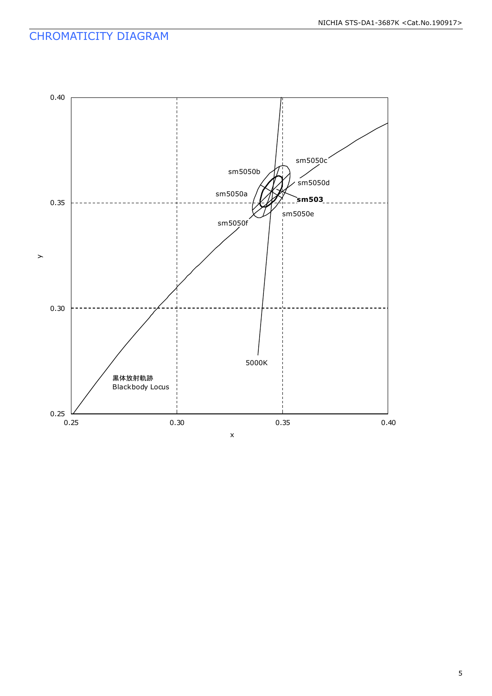### CHROMATICITY DIAGRAM

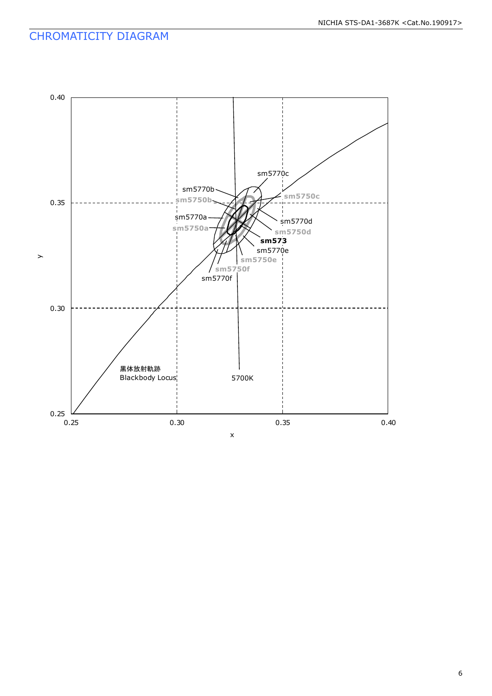### CHROMATICITY DIAGRAM

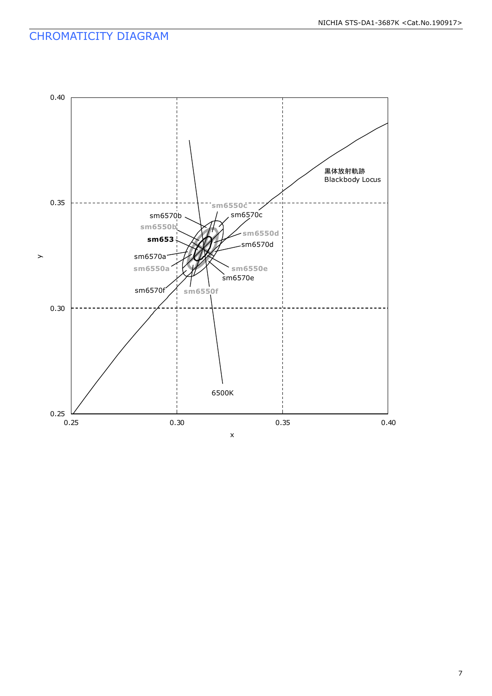### CHROMATICITY DIAGRAM



#### 7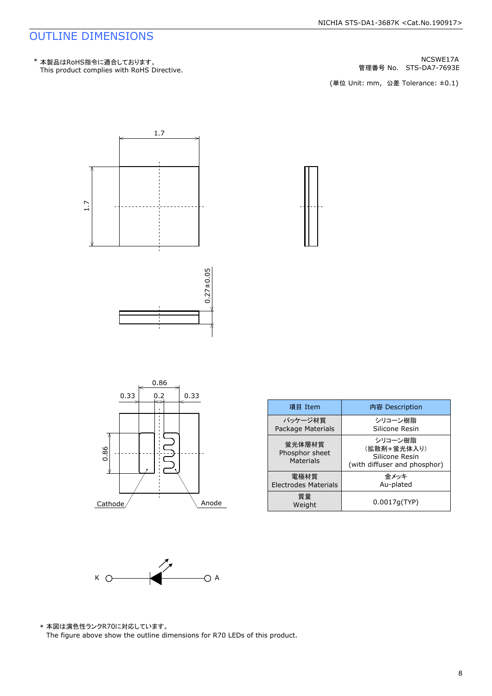管理番号 No.





| 項目 Item                                      | 内容 Description                                                           |
|----------------------------------------------|--------------------------------------------------------------------------|
| パッケージ材質<br>Package Materials                 | シリコーン樹脂<br>Silicone Resin                                                |
| 蛍光体層材質<br>Phosphor sheet<br><b>Materials</b> | シリコーン樹脂<br>(拡散剤+蛍光体入り)<br>Silicone Resin<br>(with diffuser and phosphor) |
| 雷極材質<br>Electrodes Materials                 | 金メッキ<br>Au-plated                                                        |
| 質量<br>Weight                                 | 0.0017q(TYP)                                                             |



\* 本図は演色性ランクR70に対応しています。<br>The figure above show the outline dimensions for R70 LEDs of this product.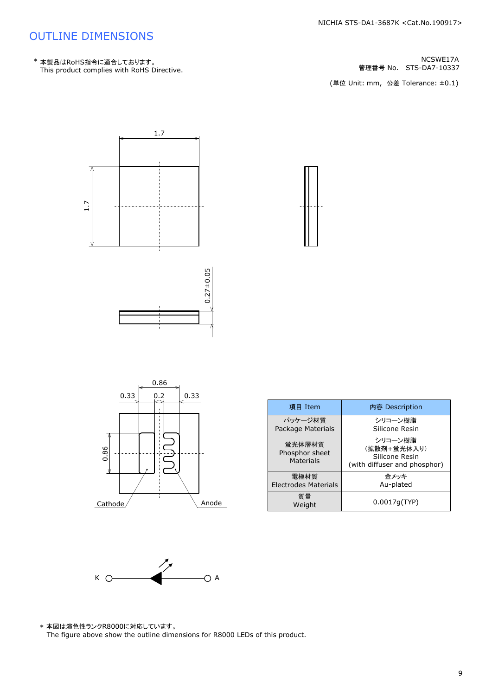管理番号 No.





| 項目 Item                                      | 内容 Description                                                           |
|----------------------------------------------|--------------------------------------------------------------------------|
| パッケージ材質<br>Package Materials                 | シリコーン樹脂<br>Silicone Resin                                                |
| 蛍光体層材質<br>Phosphor sheet<br><b>Materials</b> | シリコーン樹脂<br>(拡散剤+蛍光体入り)<br>Silicone Resin<br>(with diffuser and phosphor) |
| 電極材質<br><b>Electrodes Materials</b>          | 金メッキ<br>Au-plated                                                        |
| 質量<br>Weight                                 | 0.0017q(TYP)                                                             |



\* 本図は演色性ランクR8000に対応しています。<br>The figure above show the outline dimensions for R8000 LEDs of this product.

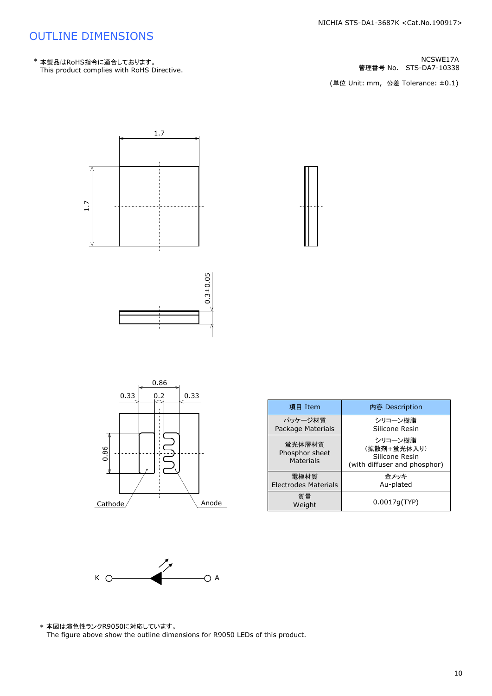管理番号 No.



| 項目 Item                                      | 内容 Description                                                           |
|----------------------------------------------|--------------------------------------------------------------------------|
| パッケージ材質<br>Package Materials                 | シリコーン樹脂<br>Silicone Resin                                                |
| 蛍光体層材質<br>Phosphor sheet<br><b>Materials</b> | シリコーン樹脂<br>(拡散剤+蛍光体入り)<br>Silicone Resin<br>(with diffuser and phosphor) |
| 電極材質<br><b>Electrodes Materials</b>          | 金メッキ<br>Au-plated                                                        |
| 質量<br>Weight                                 | 0.0017q(TYP)                                                             |



 $Cathode/$  Anode

\* 本図は演色性ランクR9050に対応しています。<br>The figure above show the outline dimensions for R9050 LEDs of this product.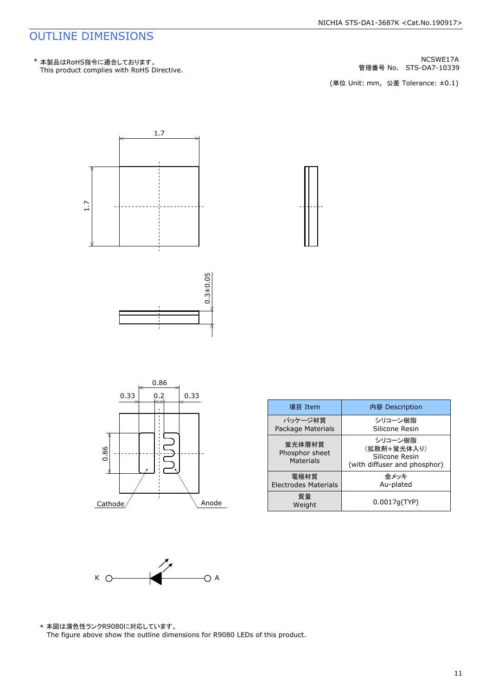管理番号 No.



| 項目 Item                                      | 内容 Description                                                           |  |
|----------------------------------------------|--------------------------------------------------------------------------|--|
| パッケージ材質<br>Package Materials                 | シリコーン樹脂<br>Silicone Resin                                                |  |
| 蛍光体層材質<br>Phosphor sheet<br><b>Materials</b> | シリコーン樹脂<br>(拡散剤+蛍光体入り)<br>Silicone Resin<br>(with diffuser and phosphor) |  |
| 電極材質<br><b>Electrodes Materials</b>          | 金メッキ<br>Au-plated                                                        |  |
| 質量<br>Weight                                 | 0.0017q(TYP)                                                             |  |



 $\text{Cathode}$  Anode

\* 本図は演色性ランクR9080に対応しています。<br>The figure above show the outline dimensions for R9080 LEDs of this product.

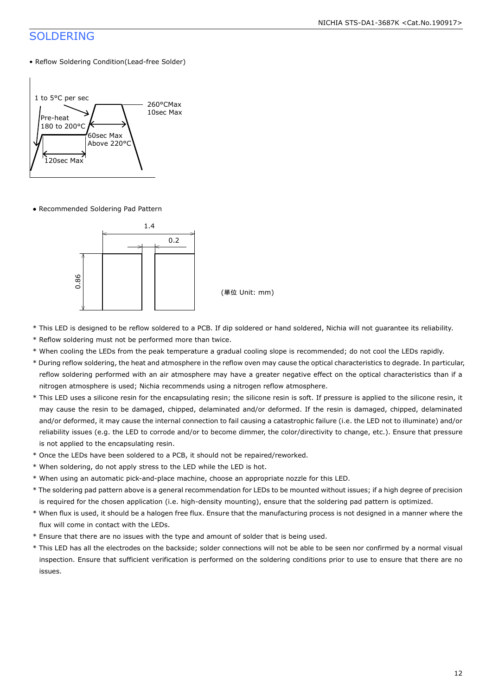#### SOLDERING

#### • Reflow Soldering Condition(Lead-free Solder)



● Recommended Soldering Pad Pattern



- \* This LED is designed to be reflow soldered to a PCB. If dip soldered or hand soldered, Nichia will not guarantee its reliability.
- \* Reflow soldering must not be performed more than twice.
- \* When cooling the LEDs from the peak temperature a gradual cooling slope is recommended; do not cool the LEDs rapidly.
- \* During reflow soldering, the heat and atmosphere in the reflow oven may cause the optical characteristics to degrade. In particular, reflow soldering performed with an air atmosphere may have a greater negative effect on the optical characteristics than if a nitrogen atmosphere is used; Nichia recommends using a nitrogen reflow atmosphere.
- \* This LED uses a silicone resin for the encapsulating resin; the silicone resin is soft. If pressure is applied to the silicone resin, it may cause the resin to be damaged, chipped, delaminated and/or deformed. If the resin is damaged, chipped, delaminated and/or deformed, it may cause the internal connection to fail causing a catastrophic failure (i.e. the LED not to illuminate) and/or reliability issues (e.g. the LED to corrode and/or to become dimmer, the color/directivity to change, etc.). Ensure that pressure is not applied to the encapsulating resin.
- \* Once the LEDs have been soldered to a PCB, it should not be repaired/reworked.
- \* When soldering, do not apply stress to the LED while the LED is hot.
- \* When using an automatic pick-and-place machine, choose an appropriate nozzle for this LED.
- \* The soldering pad pattern above is a general recommendation for LEDs to be mounted without issues; if a high degree of precision is required for the chosen application (i.e. high-density mounting), ensure that the soldering pad pattern is optimized.
- \* When flux is used, it should be a halogen free flux. Ensure that the manufacturing process is not designed in a manner where the flux will come in contact with the LEDs.
- \* Ensure that there are no issues with the type and amount of solder that is being used.
- \* This LED has all the electrodes on the backside; solder connections will not be able to be seen nor confirmed by a normal visual inspection. Ensure that sufficient verification is performed on the soldering conditions prior to use to ensure that there are no issues.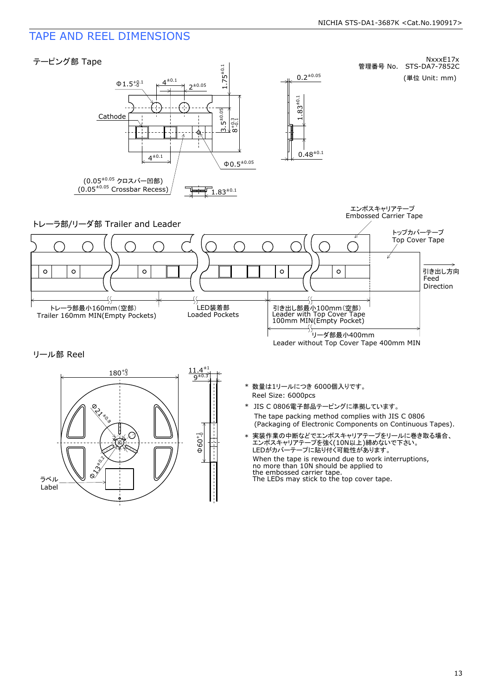#### TAPE AND REEL DIMENSIONS



 $\Phi$ 60 $^{+1}_{-0}$ f <sup>13</sup>±0.2  $\chi^2$ ラベル Label **PLY to a**  $\begin{picture}(180,180) \put(10,180){\line(1,0){180}} \put(10,180){\line(1,0){180}} \put(10,180){\line(1,0){180}} \put(10,180){\line(1,0){180}} \put(10,180){\line(1,0){180}} \put(10,180){\line(1,0){180}} \put(10,180){\line(1,0){180}} \put(10,180){\line(1,0){180}} \put(10,180){\line(1,0){180}} \put(10,180){\line(1,0){1$  $180^{+9}$ 

- Reel Size: 6000pcs \* 数量は1リールにつき 6000個入りです。
- The tape packing method complies with JIS C 0806 \* JIS C 0806電子部品テーピングに準拠しています。<br>The tape packing method complies with JIS C 0806<br>(Packaging of Electronic Components on Continuous Tapes).
- When the tape is rewound due to work interruptions, no more than 10N should be applied to the embossed carrier tape.<br>The LEDs may stick to the top cover tape. 実装作業の中断などでエンボスキャリアテープをリールに巻き取る場合、<br>エンボスキャリアテープを強く(10N以上)締めないで下さい。<br>LEDがカバーテープに貼り付く可能性があります。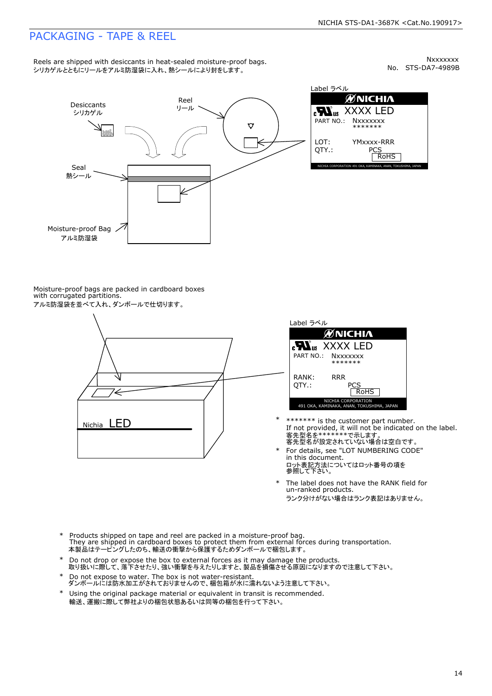#### PACKAGING - TAPE & REEL

Nxxxxxx<br>No. STS-DA7-4989B



Label ラベル  $\begin{array}{lll} \text{cN}_{\text{US}} & \text{XXXX} \text{LED} \\ \text{part no.:} & \begin{array}{ll} \text{Nxxxxxx} \\ \text{*} & \text{****} \end{array} \\ \text{LOT:} & \begin{array}{ll} \text{YMxxxx-RRR} \\ \text{PCS} \\ \text{ROHS} \end{array} \end{array}$ 

Moisture-proof bags are packed in cardboard boxes with corrugated partitions. アルミ防湿袋を並べて入れ、ダンボールで仕切ります。





- \*\*\*\*\*\*\* is the customer part number.<br>If not provided, it will not be indicated on the label.<br>客先型名が設定されていない場合は空白です。
- For details, see "LOT NUMBERING CODE" in this document. m ems assament.<br>ロット表記方法についてはロット番号の項を<br>参照して下さい。 \*
- The label does not have the RANK field for un-ranked products. ランク分けがない場合はランク表記はありません。 \*
- Products shipped on tape and reel are packed in a moisture-proof bag. They are shipped in cardboard boxes to protect them from external forces during transportation. 本製品はテーピングしたのち、輸送の衝撃から保護するためダンボールで梱包します。 \*
- Do not drop or expose the box to external forces as it may damage the products. 取り扱いに際して、落下させたり、強い衝撃を与えたりしますと、製品を損傷させる原因になりますので注意して下さい。 \*
- --------<br>Do not expose to water. The box is not water-resistant.<br>ダンボールには防水加工がされておりませんので、梱包箱が水に濡れないよう注意して下さい。
- \* Using the original package material or equivalent in transit is recommended. 輸送、運搬に際して弊社よりの梱包状態あるいは同等の梱包を行って下さい。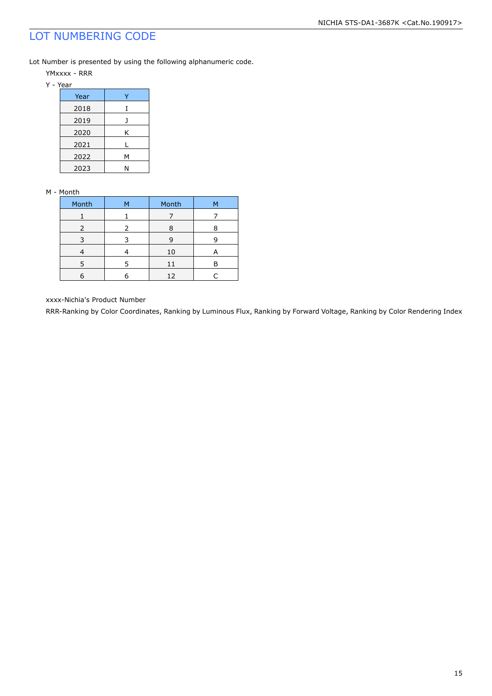### LOT NUMBERING CODE

Lot Number is presented by using the following alphanumeric code.

- YMxxxx RRR
- Y Year

| ---  |   |  |  |
|------|---|--|--|
| Year |   |  |  |
| 2018 |   |  |  |
| 2019 |   |  |  |
| 2020 | Κ |  |  |
| 2021 |   |  |  |
| 2022 | Μ |  |  |
| 2023 |   |  |  |

#### M - Month

| Month | м | Month | м |
|-------|---|-------|---|
|       |   |       |   |
| 2     | 2 | 8     |   |
| 3     |   | 9     |   |
|       |   | 10    |   |
| 5     |   | 11    |   |
|       |   | 12    |   |

xxxx-Nichia's Product Number

RRR-Ranking by Color Coordinates, Ranking by Luminous Flux, Ranking by Forward Voltage, Ranking by Color Rendering Index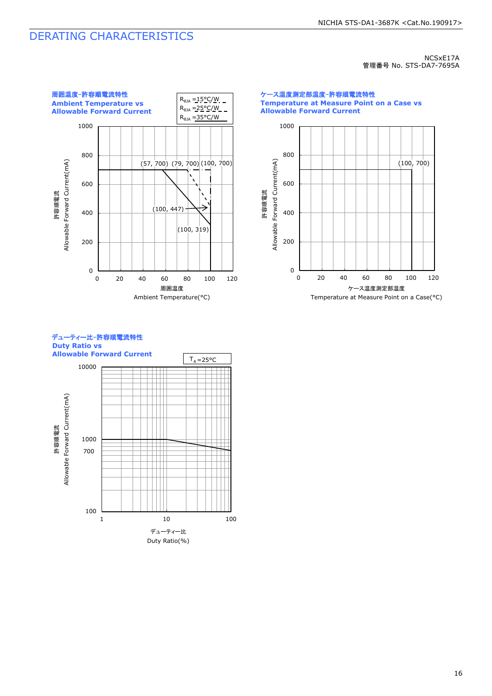#### DERATING CHARACTERISTICS

NCSxE17A 管理番号 No. STS-DA7-7695A



0 200 400 600 800 1000 0 20 40 60 80 100 120 (100, 700) ケース温度測定部温度-許容順電流特性 **Temperature at Measure Point on a Case vs Allowable Forward Current** 許容順電流<br>Allowable Forward Current(mA) Allowable Forward Current(mA) ケース温度測定部温度 Temperature at Measure Point on a Case(°C)



デューティー比-許容順電流特性

100

1 10 100 デューティー比 Duty Ratio(%)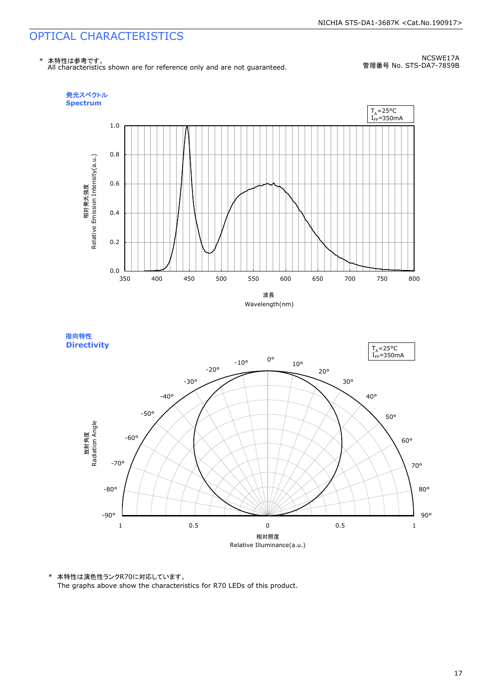

NCSWE17A 管理番号 No. STS-DA7-7859B





\* 本特性は演色性ランクR70に対応しています。

The graphs above show the characteristics for R70 LEDs of this product.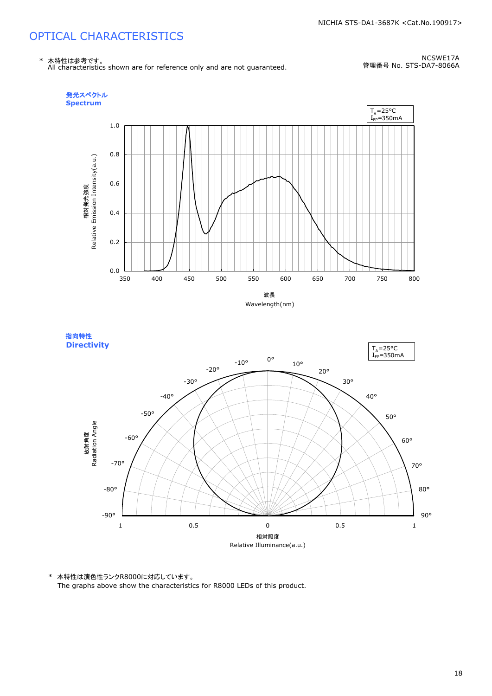

NCSWE17A 管理番号 No. STS-DA7-8066A





\* 本特性は演色性ランクR8000に対応しています。

The graphs above show the characteristics for R8000 LEDs of this product.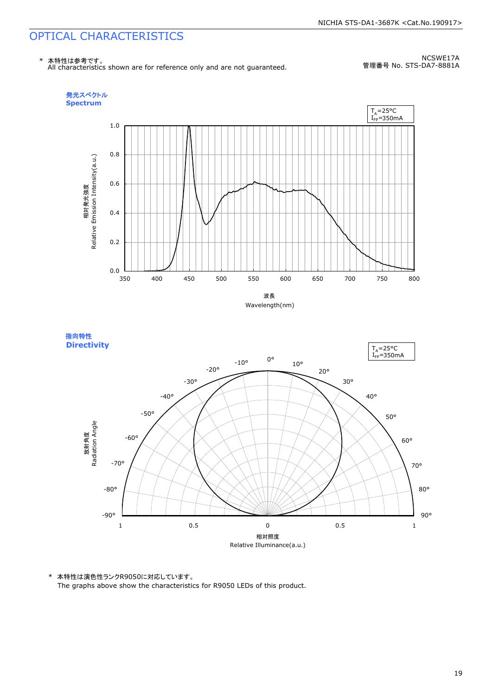

NCSWE17A 管理番号 No. STS-DA7-8881A





\* 本特性は演色性ランクR9050に対応しています。

The graphs above show the characteristics for R9050 LEDs of this product.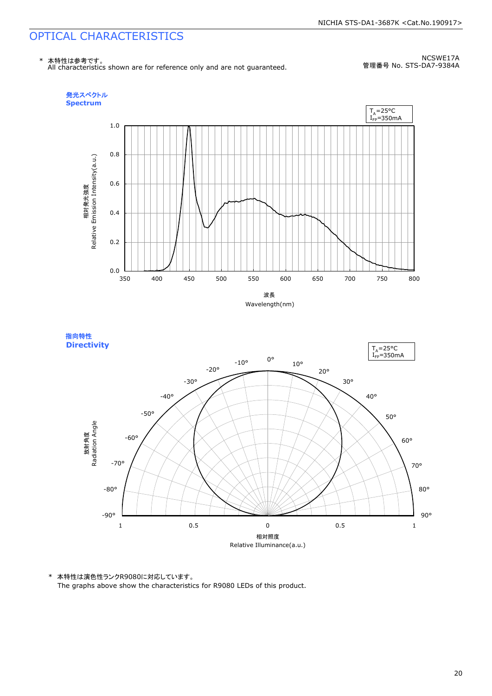

NCSWE17A 管理番号 No. STS-DA7-9384A





\* 本特性は演色性ランクR9080に対応しています。

The graphs above show the characteristics for R9080 LEDs of this product.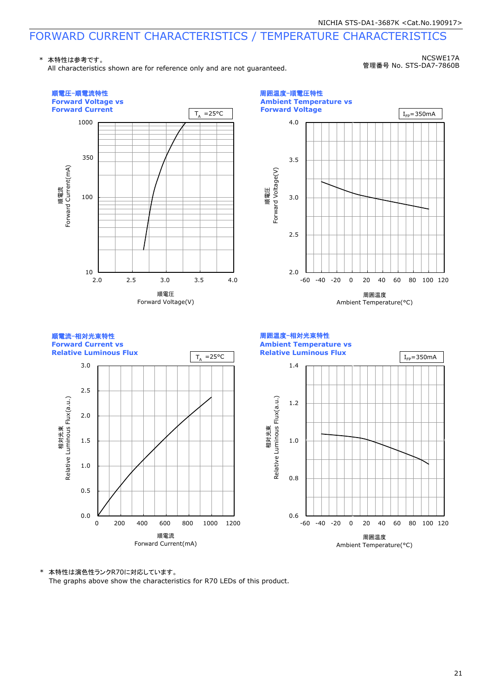\* 本特性は参考です。

All characteristics shown are for reference only and are not guaranteed.

NCSWE17A 管理番号 No. STS-DA7-7860B



\* 本特性は演色性ランクR70に対応しています。

The graphs above show the characteristics for R70 LEDs of this product.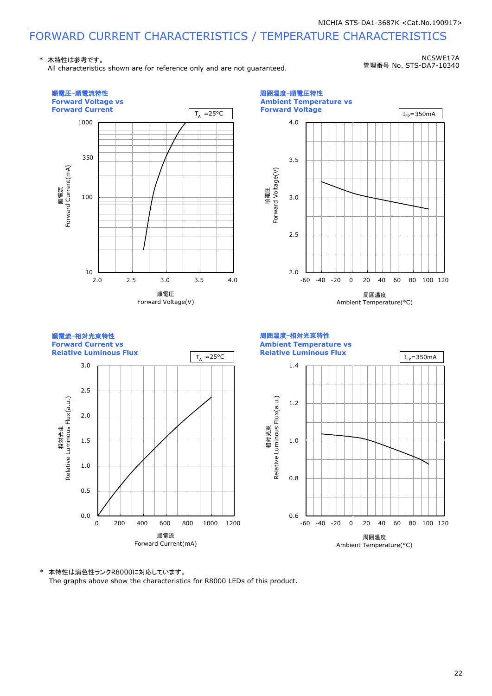\* 本特性は参考です。

All characteristics shown are for reference only and are not guaranteed.

NCSWE17A 管理番号 No. STS-DA7-10340



\* 本特性は演色性ランクR8000に対応しています。

The graphs above show the characteristics for R8000 LEDs of this product.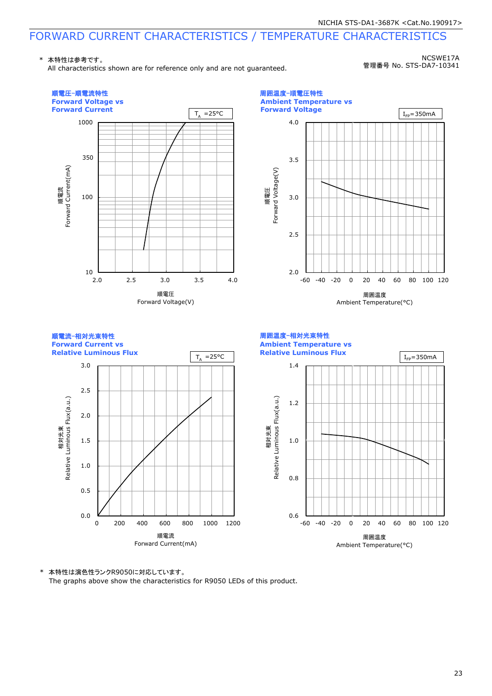\* 本特性は参考です。

All characteristics shown are for reference only and are not guaranteed.

NCSWE17A 管理番号 No. STS-DA7-10341



\* 本特性は演色性ランクR9050に対応しています。

The graphs above show the characteristics for R9050 LEDs of this product.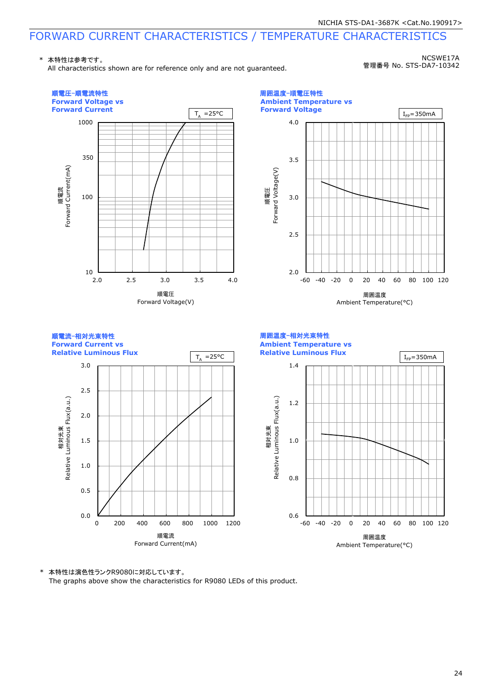\* 本特性は参考です。

All characteristics shown are for reference only and are not guaranteed.

NCSWE17A 管理番号 No. STS-DA7-10342



\* 本特性は演色性ランクR9080に対応しています。

The graphs above show the characteristics for R9080 LEDs of this product.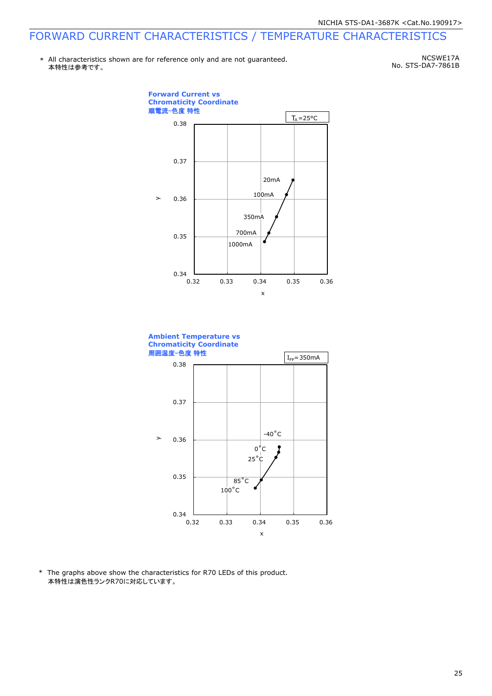\* All characteristics shown are for reference only and are not guaranteed. 本特性は参考です。

NCSWE17A No. STS-DA7-7861B



0.32 0.33 0.34 0.35 0.36

x

\* The graphs above show the characteristics for R70 LEDs of this product. 本特性は演色性ランクR70に対応しています。

 $0.34$  L<br>0.32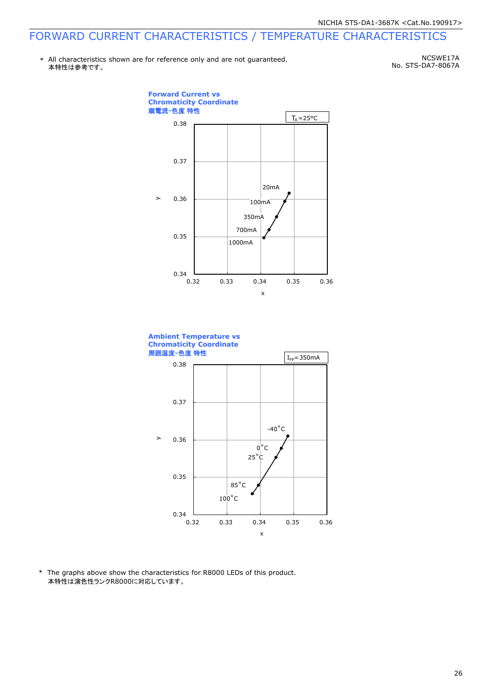\* All characteristics shown are for reference only and are not guaranteed. 本特性は参考です。

NCSWE17A No. STS-DA7-8067A





\* The graphs above show the characteristics for R8000 LEDs of this product. 本特性は演色性ランクR8000に対応しています。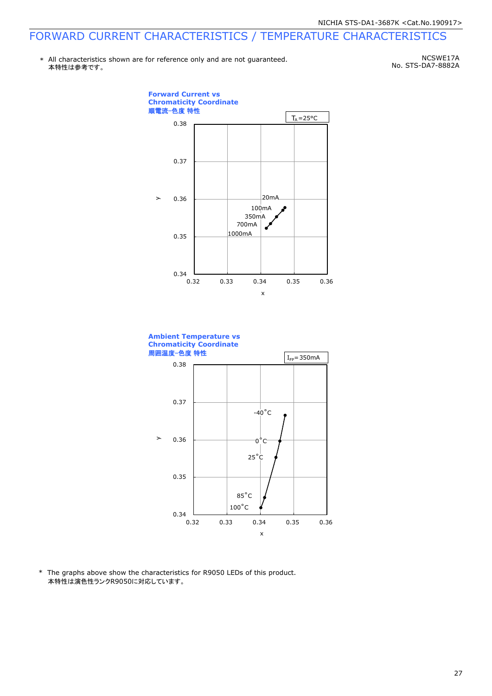\* All characteristics shown are for reference only and are not guaranteed. 本特性は参考です。

NCSWE17A No. STS-DA7-8882A





\* The graphs above show the characteristics for R9050 LEDs of this product. 本特性は演色性ランクR9050に対応しています。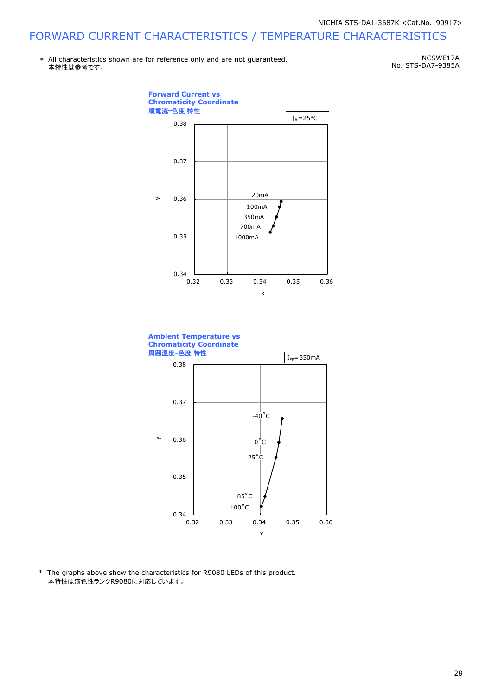\* All characteristics shown are for reference only and are not guaranteed. 本特性は参考です。

NCSWE17A No. STS-DA7-9385A





\* The graphs above show the characteristics for R9080 LEDs of this product. 本特性は演色性ランクR9080に対応しています。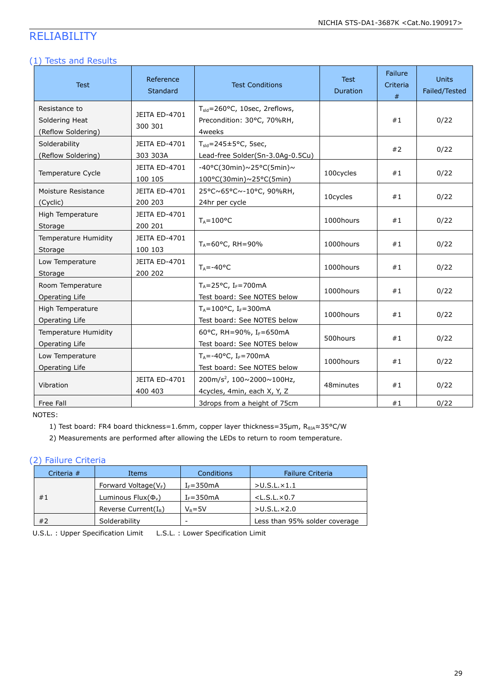### RELIABILITY

#### (1) Tests and Results

| <b>Test</b>                                           | Reference<br><b>Standard</b>     | <b>Test Conditions</b>                                                             | <b>Test</b><br>Duration | Failure<br>Criteria<br># | <b>Units</b><br>Failed/Tested |
|-------------------------------------------------------|----------------------------------|------------------------------------------------------------------------------------|-------------------------|--------------------------|-------------------------------|
| Resistance to<br>Soldering Heat<br>(Reflow Soldering) | <b>JEITA ED-4701</b><br>300 301  | T <sub>sid</sub> =260°C, 10sec, 2reflows,<br>Precondition: 30°C, 70%RH,<br>4weeks  |                         | #1                       | 0/22                          |
| Solderability<br>(Reflow Soldering)                   | <b>JEITA ED-4701</b><br>303 303A | $T_{\text{std}}$ =245±5°C, 5sec,<br>Lead-free Solder(Sn-3.0Ag-0.5Cu)               |                         | #2                       | 0/22                          |
| Temperature Cycle                                     | JEITA ED-4701<br>100 105         | -40°C(30min)~25°C(5min)~<br>100°C(30min)~25°C(5min)                                | 100cycles               | #1                       | 0/22                          |
| Moisture Resistance<br>(Cyclic)                       | <b>JEITA ED-4701</b><br>200 203  | 25°C~65°C~-10°C, 90%RH,<br>24hr per cycle                                          | 10cycles                | #1                       | 0/22                          |
| High Temperature<br>Storage                           | <b>JEITA ED-4701</b><br>200 201  | $T_A = 100^{\circ}C$                                                               | 1000hours               | #1                       | 0/22                          |
| Temperature Humidity<br>Storage                       | <b>JEITA ED-4701</b><br>100 103  | $T_A = 60^{\circ}$ C, RH = 90%                                                     | 1000hours               | #1                       | 0/22                          |
| Low Temperature<br>Storage                            | <b>JEITA ED-4701</b><br>200 202  | $T_A = -40$ °C                                                                     | 1000hours               | #1                       | 0/22                          |
| Room Temperature<br>Operating Life                    |                                  | $T_A = 25$ °C, I <sub>F</sub> =700mA<br>Test board: See NOTES below                | 1000hours               | #1                       | 0/22                          |
| High Temperature<br>Operating Life                    |                                  | $T_A = 100^{\circ}$ C, I <sub>F</sub> =300mA<br>Test board: See NOTES below        | 1000hours               | #1                       | 0/22                          |
| <b>Temperature Humidity</b><br>Operating Life         |                                  | 60°C, RH=90%, IF=650mA<br>Test board: See NOTES below                              | 500hours                | #1                       | 0/22                          |
| Low Temperature<br>Operating Life                     |                                  | $T_A = -40$ °C, I <sub>F</sub> =700mA<br>Test board: See NOTES below               | 1000hours               | #1                       | 0/22                          |
| Vibration                                             | <b>JEITA ED-4701</b><br>400 403  | 200m/s <sup>2</sup> , 100 $\sim$ 2000 $\sim$ 100Hz,<br>4cycles, 4min, each X, Y, Z | 48minutes               | #1                       | 0/22                          |
| Free Fall                                             |                                  | 3drops from a height of 75cm                                                       |                         | #1                       | 0/22                          |

NOTES:

1) Test board: FR4 board thickness=1.6mm, copper layer thickness=35µm, R<sub>0JA</sub>≈35°C/W

2) Measurements are performed after allowing the LEDs to return to room temperature.

#### (2) Failure Criteria

| Criteria $#$ | Items                      | Conditions               | <b>Failure Criteria</b>       |
|--------------|----------------------------|--------------------------|-------------------------------|
|              | Forward Voltage( $V_F$ )   | $I_F = 350mA$            | $>$ U.S.L. $\times$ 1.1       |
| #1           | Luminous Flux $(\Phi_{v})$ | $I_F = 350mA$            | $<$ L.S.L. $\times$ 0.7       |
|              | Reverse Current $(I_R)$    | $V_{\rm p} = 5V$         | $>$ U.S.L. $\times$ 2.0       |
| #2           | Solderability              | $\overline{\phantom{0}}$ | Less than 95% solder coverage |

U.S.L. : Upper Specification Limit L.S.L. : Lower Specification Limit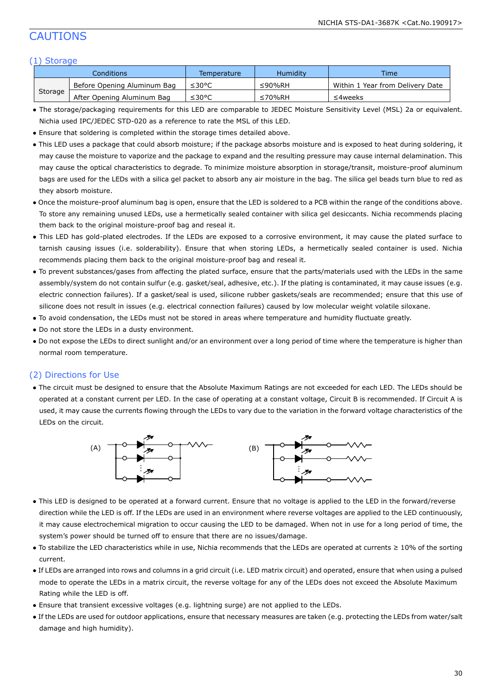#### CAUTIONS

#### (1) Storage

|         | Conditions                  | Temperature | Humidity | Time                             |
|---------|-----------------------------|-------------|----------|----------------------------------|
|         | Before Opening Aluminum Bag | ≤30°C       | ≤90%RH   | Within 1 Year from Delivery Date |
| Storage | After Opening Aluminum Bag  | ≤30°C       | ≤70%RH   | ≤4weeks                          |

- The storage/packaging requirements for this LED are comparable to JEDEC Moisture Sensitivity Level (MSL) 2a or equivalent. Nichia used IPC/JEDEC STD-020 as a reference to rate the MSL of this LED.
- Ensure that soldering is completed within the storage times detailed above.
- This LED uses a package that could absorb moisture; if the package absorbs moisture and is exposed to heat during soldering, it may cause the moisture to vaporize and the package to expand and the resulting pressure may cause internal delamination. This may cause the optical characteristics to degrade. To minimize moisture absorption in storage/transit, moisture-proof aluminum bags are used for the LEDs with a silica gel packet to absorb any air moisture in the bag. The silica gel beads turn blue to red as they absorb moisture.
- Once the moisture-proof aluminum bag is open, ensure that the LED is soldered to a PCB within the range of the conditions above. To store any remaining unused LEDs, use a hermetically sealed container with silica gel desiccants. Nichia recommends placing them back to the original moisture-proof bag and reseal it.
- This LED has gold-plated electrodes. If the LEDs are exposed to a corrosive environment, it may cause the plated surface to tarnish causing issues (i.e. solderability). Ensure that when storing LEDs, a hermetically sealed container is used. Nichia recommends placing them back to the original moisture-proof bag and reseal it.
- To prevent substances/gases from affecting the plated surface, ensure that the parts/materials used with the LEDs in the same assembly/system do not contain sulfur (e.g. gasket/seal, adhesive, etc.). If the plating is contaminated, it may cause issues (e.g. electric connection failures). If a gasket/seal is used, silicone rubber gaskets/seals are recommended; ensure that this use of silicone does not result in issues (e.g. electrical connection failures) caused by low molecular weight volatile siloxane.
- To avoid condensation, the LEDs must not be stored in areas where temperature and humidity fluctuate greatly.
- Do not store the LEDs in a dusty environment.
- Do not expose the LEDs to direct sunlight and/or an environment over a long period of time where the temperature is higher than normal room temperature.

#### (2) Directions for Use

● The circuit must be designed to ensure that the Absolute Maximum Ratings are not exceeded for each LED. The LEDs should be operated at a constant current per LED. In the case of operating at a constant voltage, Circuit B is recommended. If Circuit A is used, it may cause the currents flowing through the LEDs to vary due to the variation in the forward voltage characteristics of the LEDs on the circuit.



- This LED is designed to be operated at a forward current. Ensure that no voltage is applied to the LED in the forward/reverse direction while the LED is off. If the LEDs are used in an environment where reverse voltages are applied to the LED continuously, it may cause electrochemical migration to occur causing the LED to be damaged. When not in use for a long period of time, the system's power should be turned off to ensure that there are no issues/damage.
- To stabilize the LED characteristics while in use, Nichia recommends that the LEDs are operated at currents ≥ 10% of the sorting current.
- If LEDs are arranged into rows and columns in a grid circuit (i.e. LED matrix circuit) and operated, ensure that when using a pulsed mode to operate the LEDs in a matrix circuit, the reverse voltage for any of the LEDs does not exceed the Absolute Maximum Rating while the LED is off.
- Ensure that transient excessive voltages (e.g. lightning surge) are not applied to the LEDs.
- If the LEDs are used for outdoor applications, ensure that necessary measures are taken (e.g. protecting the LEDs from water/salt damage and high humidity).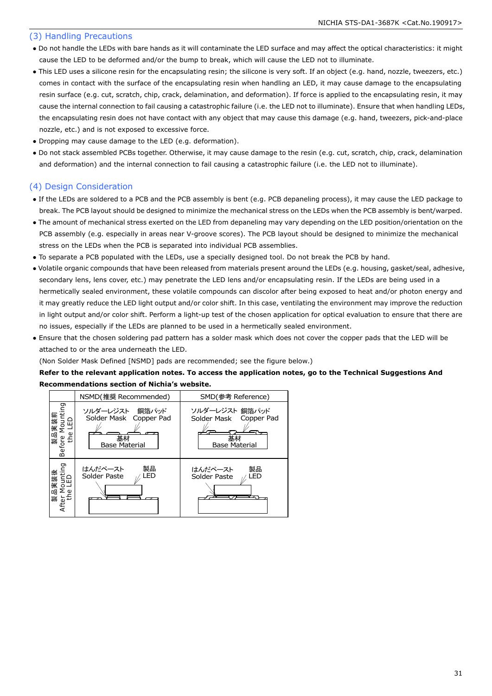#### (3) Handling Precautions

- Do not handle the LEDs with bare hands as it will contaminate the LED surface and may affect the optical characteristics: it might cause the LED to be deformed and/or the bump to break, which will cause the LED not to illuminate.
- This LED uses a silicone resin for the encapsulating resin; the silicone is very soft. If an object (e.g. hand, nozzle, tweezers, etc.) comes in contact with the surface of the encapsulating resin when handling an LED, it may cause damage to the encapsulating resin surface (e.g. cut, scratch, chip, crack, delamination, and deformation). If force is applied to the encapsulating resin, it may cause the internal connection to fail causing a catastrophic failure (i.e. the LED not to illuminate). Ensure that when handling LEDs, the encapsulating resin does not have contact with any object that may cause this damage (e.g. hand, tweezers, pick-and-place nozzle, etc.) and is not exposed to excessive force.
- Dropping may cause damage to the LED (e.g. deformation).
- Do not stack assembled PCBs together. Otherwise, it may cause damage to the resin (e.g. cut, scratch, chip, crack, delamination and deformation) and the internal connection to fail causing a catastrophic failure (i.e. the LED not to illuminate).

#### (4) Design Consideration

- If the LEDs are soldered to a PCB and the PCB assembly is bent (e.g. PCB depaneling process), it may cause the LED package to break. The PCB layout should be designed to minimize the mechanical stress on the LEDs when the PCB assembly is bent/warped.
- The amount of mechanical stress exerted on the LED from depaneling may vary depending on the LED position/orientation on the PCB assembly (e.g. especially in areas near V-groove scores). The PCB layout should be designed to minimize the mechanical stress on the LEDs when the PCB is separated into individual PCB assemblies.
- To separate a PCB populated with the LEDs, use a specially designed tool. Do not break the PCB by hand.
- Volatile organic compounds that have been released from materials present around the LEDs (e.g. housing, gasket/seal, adhesive, secondary lens, lens cover, etc.) may penetrate the LED lens and/or encapsulating resin. If the LEDs are being used in a hermetically sealed environment, these volatile compounds can discolor after being exposed to heat and/or photon energy and it may greatly reduce the LED light output and/or color shift. In this case, ventilating the environment may improve the reduction in light output and/or color shift. Perform a light-up test of the chosen application for optical evaluation to ensure that there are no issues, especially if the LEDs are planned to be used in a hermetically sealed environment.
- Ensure that the chosen soldering pad pattern has a solder mask which does not cover the copper pads that the LED will be attached to or the area underneath the LED.

(Non Solder Mask Defined [NSMD] pads are recommended; see the figure below.)

#### **Refer to the relevant application notes. To access the application notes, go to the Technical Suggestions And Recommendations section of Nichia's website.**

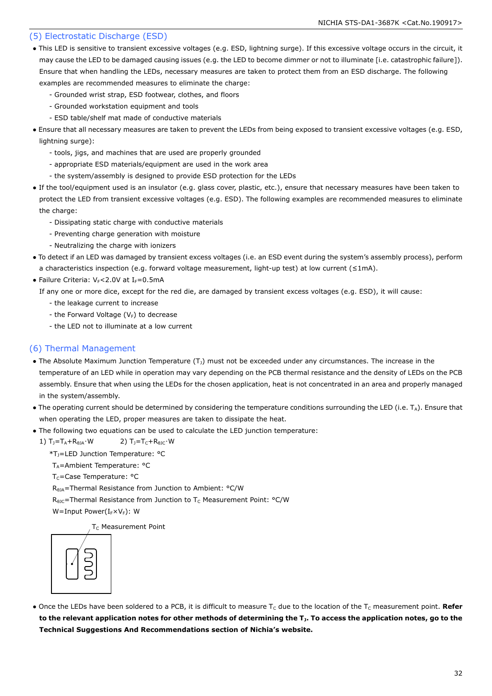#### (5) Electrostatic Discharge (ESD)

- This LED is sensitive to transient excessive voltages (e.g. ESD, lightning surge). If this excessive voltage occurs in the circuit, it may cause the LED to be damaged causing issues (e.g. the LED to become dimmer or not to illuminate [i.e. catastrophic failure]). Ensure that when handling the LEDs, necessary measures are taken to protect them from an ESD discharge. The following examples are recommended measures to eliminate the charge:
	- Grounded wrist strap, ESD footwear, clothes, and floors
	- Grounded workstation equipment and tools
	- ESD table/shelf mat made of conductive materials
- Ensure that all necessary measures are taken to prevent the LEDs from being exposed to transient excessive voltages (e.g. ESD, lightning surge):
	- tools, jigs, and machines that are used are properly grounded
	- appropriate ESD materials/equipment are used in the work area
	- the system/assembly is designed to provide ESD protection for the LEDs
- If the tool/equipment used is an insulator (e.g. glass cover, plastic, etc.), ensure that necessary measures have been taken to protect the LED from transient excessive voltages (e.g. ESD). The following examples are recommended measures to eliminate the charge:
	- Dissipating static charge with conductive materials
	- Preventing charge generation with moisture
	- Neutralizing the charge with ionizers
- To detect if an LED was damaged by transient excess voltages (i.e. an ESD event during the system's assembly process), perform a characteristics inspection (e.g. forward voltage measurement, light-up test) at low current (≤1mA).
- Failure Criteria:  $V_F < 2.0V$  at I $_F = 0.5mA$

If any one or more dice, except for the red die, are damaged by transient excess voltages (e.g. ESD), it will cause:

- the leakage current to increase
- the Forward Voltage  $(V_F)$  to decrease
- the LED not to illuminate at a low current

#### (6) Thermal Management

- The Absolute Maximum Junction Temperature  $(T<sub>J</sub>)$  must not be exceeded under any circumstances. The increase in the temperature of an LED while in operation may vary depending on the PCB thermal resistance and the density of LEDs on the PCB assembly. Ensure that when using the LEDs for the chosen application, heat is not concentrated in an area and properly managed in the system/assembly.
- The operating current should be determined by considering the temperature conditions surrounding the LED (i.e.  $T_A$ ). Ensure that when operating the LED, proper measures are taken to dissipate the heat.
- The following two equations can be used to calculate the LED junction temperature:
	- 1)  $T_1 = T_A + R_{\theta} + W$  2)  $T_1 = T_C + R_{\theta} + W$ 
		- \*TJ=LED Junction Temperature: °C
		- T<sub>A</sub>=Ambient Temperature: °C
		- T<sub>C</sub>=Case Temperature: °C
		- R<sub>θJA</sub>=Thermal Resistance from Junction to Ambient: °C/W
		- $R_{\theta$ JC=Thermal Resistance from Junction to T<sub>C</sub> Measurement Point: °C/W

W=Input Power( $I_F\times V_F$ ): W

T<sub>C</sub> Measurement Point



• Once the LEDs have been soldered to a PCB, it is difficult to measure T<sub>c</sub> due to the location of the T<sub>C</sub> measurement point. Refer **to the relevant application notes for other methods of determining the TJ. To access the application notes, go to the Technical Suggestions And Recommendations section of Nichia's website.**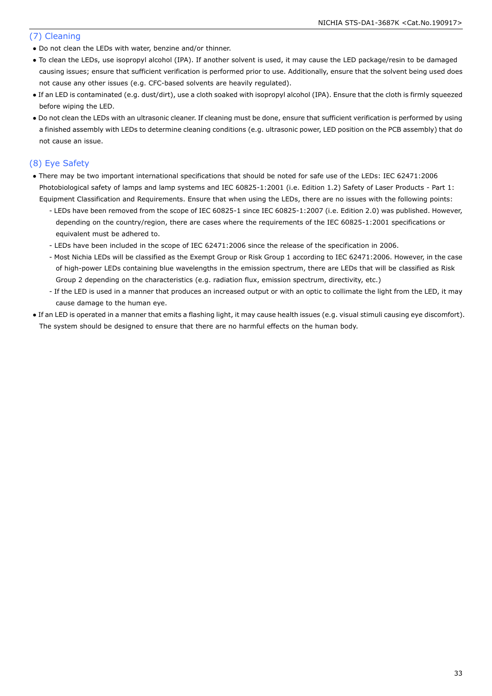#### (7) Cleaning

- Do not clean the LEDs with water, benzine and/or thinner.
- To clean the LEDs, use isopropyl alcohol (IPA). If another solvent is used, it may cause the LED package/resin to be damaged causing issues; ensure that sufficient verification is performed prior to use. Additionally, ensure that the solvent being used does not cause any other issues (e.g. CFC-based solvents are heavily regulated).
- If an LED is contaminated (e.g. dust/dirt), use a cloth soaked with isopropyl alcohol (IPA). Ensure that the cloth is firmly squeezed before wiping the LED.
- Do not clean the LEDs with an ultrasonic cleaner. If cleaning must be done, ensure that sufficient verification is performed by using a finished assembly with LEDs to determine cleaning conditions (e.g. ultrasonic power, LED position on the PCB assembly) that do not cause an issue.

#### (8) Eye Safety

- There may be two important international specifications that should be noted for safe use of the LEDs: IEC 62471:2006 Photobiological safety of lamps and lamp systems and IEC 60825-1:2001 (i.e. Edition 1.2) Safety of Laser Products - Part 1: Equipment Classification and Requirements. Ensure that when using the LEDs, there are no issues with the following points:
	- LEDs have been removed from the scope of IEC 60825-1 since IEC 60825-1:2007 (i.e. Edition 2.0) was published. However, depending on the country/region, there are cases where the requirements of the IEC 60825-1:2001 specifications or equivalent must be adhered to.
	- LEDs have been included in the scope of IEC 62471:2006 since the release of the specification in 2006.
	- Most Nichia LEDs will be classified as the Exempt Group or Risk Group 1 according to IEC 62471:2006. However, in the case of high-power LEDs containing blue wavelengths in the emission spectrum, there are LEDs that will be classified as Risk Group 2 depending on the characteristics (e.g. radiation flux, emission spectrum, directivity, etc.)
	- If the LED is used in a manner that produces an increased output or with an optic to collimate the light from the LED, it may cause damage to the human eye.
- If an LED is operated in a manner that emits a flashing light, it may cause health issues (e.g. visual stimuli causing eye discomfort). The system should be designed to ensure that there are no harmful effects on the human body.